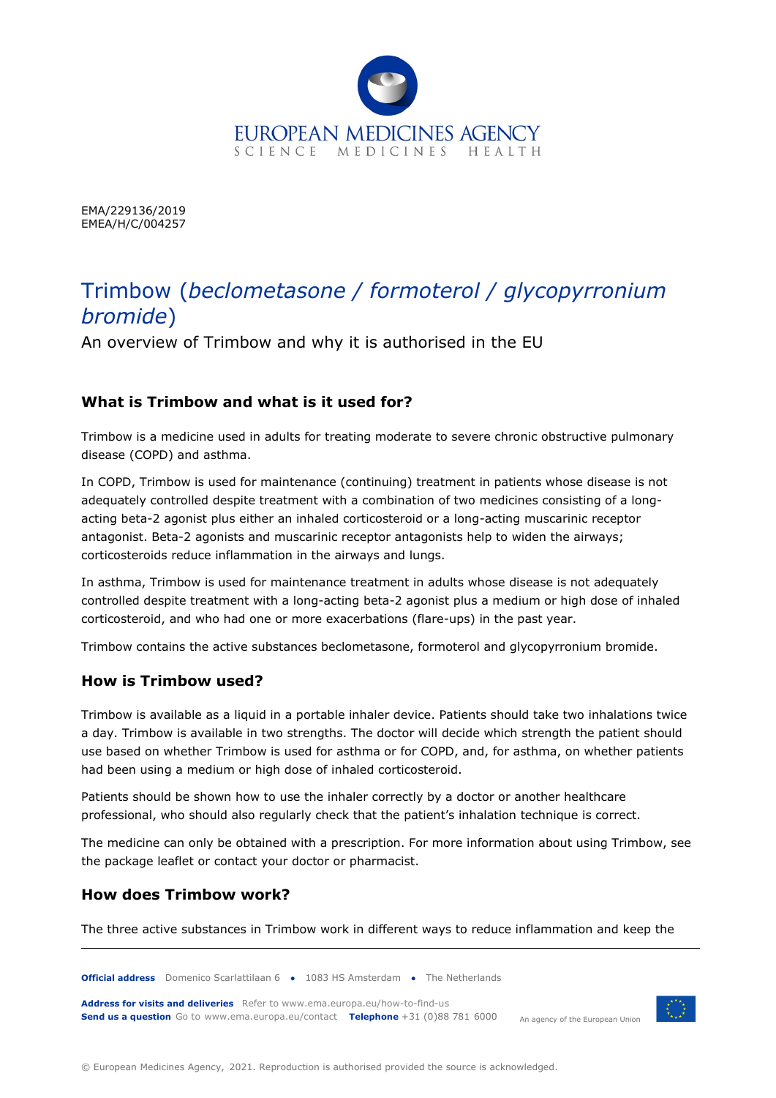

EMA/229136/2019 EMEA/H/C/004257

# Trimbow (*beclometasone / formoterol / glycopyrronium bromide*)

An overview of Trimbow and why it is authorised in the EU

# **What is Trimbow and what is it used for?**

Trimbow is a medicine used in adults for treating moderate to severe chronic obstructive pulmonary disease (COPD) and asthma.

In COPD, Trimbow is used for maintenance (continuing) treatment in patients whose disease is not adequately controlled despite treatment with a combination of two medicines consisting of a longacting beta-2 agonist plus either an inhaled corticosteroid or a long-acting muscarinic receptor antagonist. Beta-2 agonists and muscarinic receptor antagonists help to widen the airways; corticosteroids reduce inflammation in the airways and lungs.

In asthma, Trimbow is used for maintenance treatment in adults whose disease is not adequately controlled despite treatment with a long-acting beta-2 agonist plus a medium or high dose of inhaled corticosteroid, and who had one or more exacerbations (flare-ups) in the past year.

Trimbow contains the active substances beclometasone, formoterol and glycopyrronium bromide.

# **How is Trimbow used?**

Trimbow is available as a liquid in a portable inhaler device. Patients should take two inhalations twice a day. Trimbow is available in two strengths. The doctor will decide which strength the patient should use based on whether Trimbow is used for asthma or for COPD, and, for asthma, on whether patients had been using a medium or high dose of inhaled corticosteroid.

Patients should be shown how to use the inhaler correctly by a doctor or another healthcare professional, who should also regularly check that the patient's inhalation technique is correct.

The medicine can only be obtained with a prescription. For more information about using Trimbow, see the package leaflet or contact your doctor or pharmacist.

# **How does Trimbow work?**

The three active substances in Trimbow work in different ways to reduce inflammation and keep the



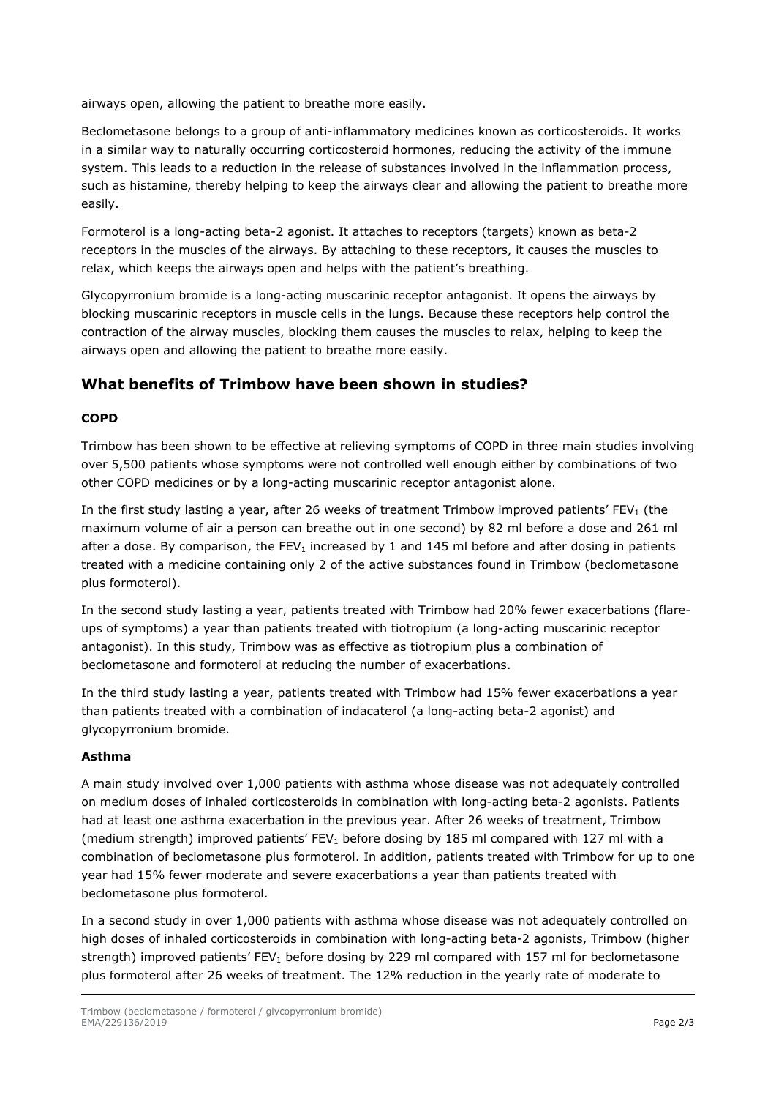airways open, allowing the patient to breathe more easily.

Beclometasone belongs to a group of anti-inflammatory medicines known as corticosteroids. It works in a similar way to naturally occurring corticosteroid hormones, reducing the activity of the immune system. This leads to a reduction in the release of substances involved in the inflammation process, such as histamine, thereby helping to keep the airways clear and allowing the patient to breathe more easily.

Formoterol is a long-acting beta-2 agonist. It attaches to receptors (targets) known as beta-2 receptors in the muscles of the airways. By attaching to these receptors, it causes the muscles to relax, which keeps the airways open and helps with the patient's breathing.

Glycopyrronium bromide is a long-acting muscarinic receptor antagonist. It opens the airways by blocking muscarinic receptors in muscle cells in the lungs. Because these receptors help control the contraction of the airway muscles, blocking them causes the muscles to relax, helping to keep the airways open and allowing the patient to breathe more easily.

# **What benefits of Trimbow have been shown in studies?**

#### **COPD**

Trimbow has been shown to be effective at relieving symptoms of COPD in three main studies involving over 5,500 patients whose symptoms were not controlled well enough either by combinations of two other COPD medicines or by a long-acting muscarinic receptor antagonist alone.

In the first study lasting a year, after 26 weeks of treatment Trimbow improved patients' FEV<sub>1</sub> (the maximum volume of air a person can breathe out in one second) by 82 ml before a dose and 261 ml after a dose. By comparison, the FEV<sub>1</sub> increased by 1 and 145 ml before and after dosing in patients treated with a medicine containing only 2 of the active substances found in Trimbow (beclometasone plus formoterol).

In the second study lasting a year, patients treated with Trimbow had 20% fewer exacerbations (flareups of symptoms) a year than patients treated with tiotropium (a long-acting muscarinic receptor antagonist). In this study, Trimbow was as effective as tiotropium plus a combination of beclometasone and formoterol at reducing the number of exacerbations.

In the third study lasting a year, patients treated with Trimbow had 15% fewer exacerbations a year than patients treated with a combination of indacaterol (a long-acting beta-2 agonist) and glycopyrronium bromide.

#### **Asthma**

A main study involved over 1,000 patients with asthma whose disease was not adequately controlled on medium doses of inhaled corticosteroids in combination with long-acting beta-2 agonists. Patients had at least one asthma exacerbation in the previous year. After 26 weeks of treatment, Trimbow (medium strength) improved patients' FEV<sub>1</sub> before dosing by 185 ml compared with 127 ml with a combination of beclometasone plus formoterol. In addition, patients treated with Trimbow for up to one year had 15% fewer moderate and severe exacerbations a year than patients treated with beclometasone plus formoterol.

In a second study in over 1,000 patients with asthma whose disease was not adequately controlled on high doses of inhaled corticosteroids in combination with long-acting beta-2 agonists, Trimbow (higher strength) improved patients' FEV<sub>1</sub> before dosing by 229 ml compared with 157 ml for beclometasone plus formoterol after 26 weeks of treatment. The 12% reduction in the yearly rate of moderate to